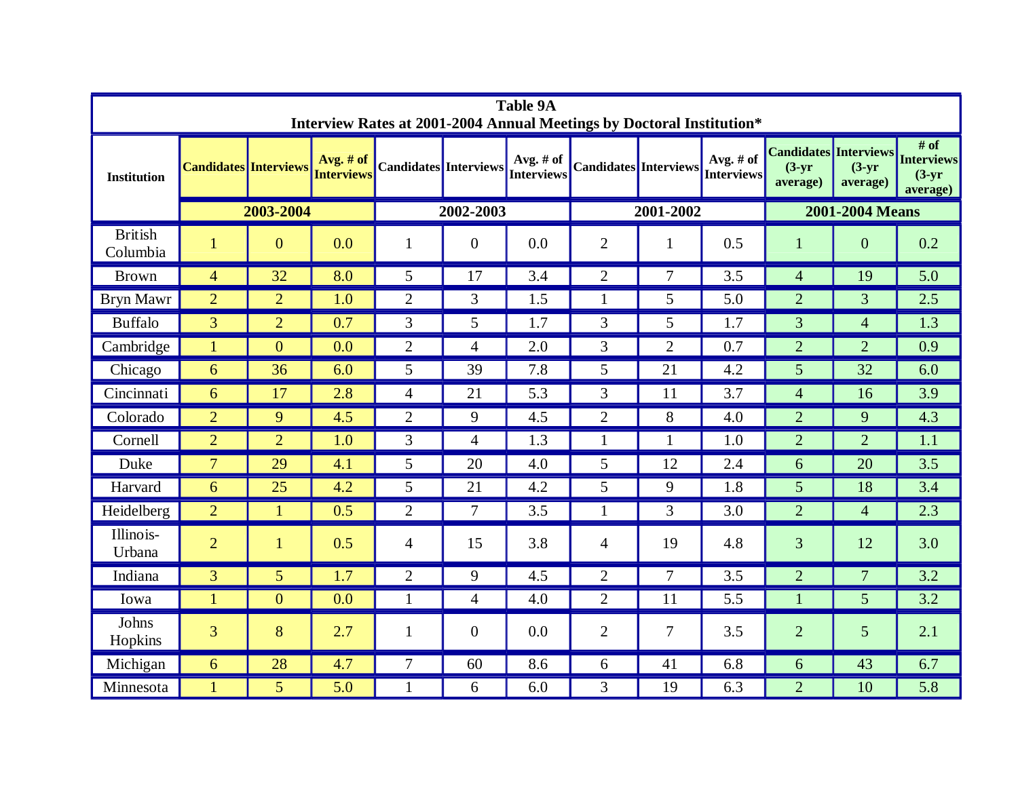| <b>Table 9A</b><br>Interview Rates at 2001-2004 Annual Meetings by Doctoral Institution* |                              |                 |                                  |                              |                |                                |                              |                |                                |                                                      |                      |                                                   |
|------------------------------------------------------------------------------------------|------------------------------|-----------------|----------------------------------|------------------------------|----------------|--------------------------------|------------------------------|----------------|--------------------------------|------------------------------------------------------|----------------------|---------------------------------------------------|
| <b>Institution</b>                                                                       | <b>Candidates Interviews</b> |                 | Avg. $#$ of<br><b>Interviews</b> | <b>Candidates</b> Interviews |                | Avg. # of<br><b>Interviews</b> | <b>Candidates</b> Interviews |                | Avg. # of<br><b>Interviews</b> | <b>Candidates Interviews</b><br>$(3-yr)$<br>average) | $(3-yr)$<br>average) | # of<br><b>Interviews</b><br>$(3-yr)$<br>average) |
|                                                                                          | 2003-2004                    |                 |                                  | 2002-2003                    |                |                                | 2001-2002                    |                |                                | 2001-2004 Means                                      |                      |                                                   |
| <b>British</b><br>Columbia                                                               | $\mathbf{1}$                 | $\overline{0}$  | 0.0                              | 1                            | $\overline{0}$ | 0.0                            | $\overline{2}$               | 1              | 0.5                            | 1                                                    | $\boldsymbol{0}$     | 0.2                                               |
| <b>Brown</b>                                                                             | $\overline{4}$               | 32              | 8.0                              | 5                            | 17             | 3.4                            | $\overline{2}$               | $\overline{7}$ | 3.5                            | $\overline{4}$                                       | 19                   | 5.0                                               |
| <b>Bryn Mawr</b>                                                                         | $\overline{2}$               | $\overline{2}$  | 1.0                              | $\overline{2}$               | $\mathfrak{Z}$ | 1.5                            | $\mathbf{1}$                 | $\overline{5}$ | 5.0                            | $\overline{2}$                                       | 3                    | 2.5                                               |
| <b>Buffalo</b>                                                                           | 3                            | $\overline{2}$  | 0.7                              | 3                            | 5              | 1.7                            | 3                            | 5 <sup>5</sup> | 1.7                            | $\overline{3}$                                       | $\overline{4}$       | 1.3                                               |
| Cambridge                                                                                | 1                            | $\overline{0}$  | 0.0                              | $\overline{2}$               | $\overline{4}$ | 2.0                            | 3                            | 2              | 0.7                            | $\overline{2}$                                       | $\overline{2}$       | 0.9                                               |
| Chicago                                                                                  | 6                            | 36              | 6.0                              | 5                            | 39             | 7.8                            | 5                            | 21             | 4.2                            | 5                                                    | 32                   | 6.0                                               |
| Cincinnati                                                                               | 6                            | 17              | 2.8                              | $\overline{4}$               | 21             | 5.3                            | 3                            | 11             | 3.7                            | $\overline{4}$                                       | 16                   | 3.9                                               |
| Colorado                                                                                 | $\overline{2}$               | 9               | 4.5                              | $\overline{2}$               | 9              | 4.5                            | $\overline{2}$               | 8              | 4.0                            | $\overline{2}$                                       | 9                    | 4.3                                               |
| Cornell                                                                                  | 2                            | $\overline{2}$  | 1.0                              | 3                            | $\overline{4}$ | 1.3                            | 1                            | $\mathbf{1}$   | 1.0                            | $\overline{2}$                                       | $\overline{2}$       | 1.1                                               |
| Duke                                                                                     | $\overline{7}$               | 29              | 4.1                              | 5                            | 20             | 4.0                            | 5                            | 12             | 2.4                            | 6                                                    | 20                   | 3.5                                               |
| Harvard                                                                                  | 6                            | 25              | 4.2                              | 5                            | 21             | 4.2                            | 5                            | 9              | 1.8                            | $5\overline{)}$                                      | 18                   | 3.4                                               |
| Heidelberg                                                                               | 2                            | $\mathbf{1}$    | 0.5                              | $\overline{2}$               | $\overline{7}$ | 3.5                            | $\mathbf{1}$                 | $\mathfrak{Z}$ | 3.0                            | $\overline{2}$                                       | $\overline{4}$       | 2.3                                               |
| Illinois-<br>Urbana                                                                      | $\overline{2}$               | $\mathbf{1}$    | 0.5                              | $\overline{4}$               | 15             | 3.8                            | 4                            | 19             | 4.8                            | 3                                                    | 12                   | 3.0                                               |
| Indiana                                                                                  | $\overline{3}$               | $5\overline{)}$ | 1.7                              | $\overline{2}$               | 9              | 4.5                            | $\overline{2}$               | $\overline{7}$ | 3.5                            | $\overline{2}$                                       | $\overline{7}$       | 3.2                                               |
| Iowa                                                                                     | 1                            | $\overline{0}$  | 0.0                              | 1                            | $\overline{4}$ | 4.0                            | $\overline{2}$               | 11             | 5.5                            |                                                      | 5                    | 3.2                                               |
| Johns<br>Hopkins                                                                         | 3                            | 8               | 2.7                              | 1                            | $\overline{0}$ | 0.0                            | $\overline{2}$               | $\overline{7}$ | 3.5                            | $\overline{2}$                                       | 5                    | 2.1                                               |
| Michigan                                                                                 | 6                            | 28              | 4.7                              | $7\overline{ }$              | 60             | 8.6                            | 6                            | 41             | 6.8                            | 6                                                    | 43                   | 6.7                                               |
| Minnesota                                                                                | 1                            | 5 <sup>5</sup>  | 5.0                              | 1                            | 6              | 6.0                            | 3                            | 19             | 6.3                            | $\overline{2}$                                       | 10                   | 5.8                                               |